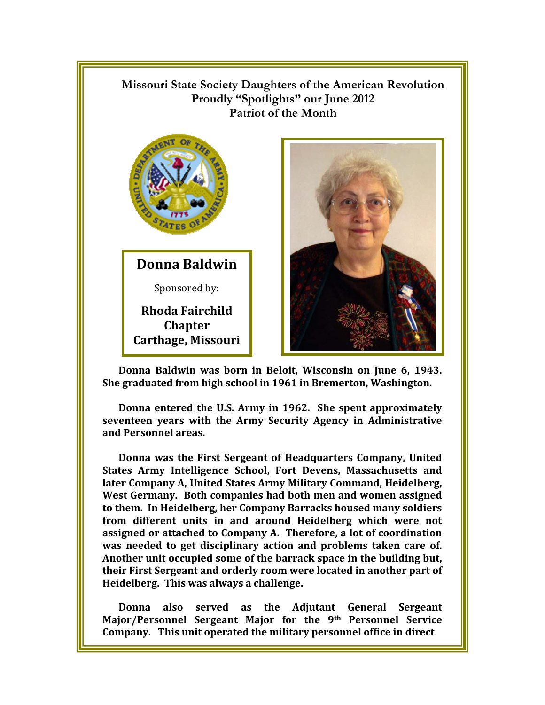**Missouri State Society Daughters of the American Revolution Proudly "Spotlights" our June 2012 Patriot of the Month**



**Donna Baldwin**

Sponsored by:

**Rhoda Fairchild Chapter Carthage, Missouri** 



**Donna Baldwin was born in Beloit, Wisconsin on June 6, 1943. She graduated from high school in 1961 in Bremerton, Washington.** 

**Donna entered the U.S. Army in 1962. She spent approximately seventeen years with the Army Security Agency in Administrative and Personnel areas.** 

**Donna was the First Sergeant of Headquarters Company, United States Army Intelligence School, Fort Devens, Massachusetts and later Company A, United States Army Military Command, Heidelberg, West Germany. Both companies had both men and women assigned to them. In Heidelberg, her Company Barracks housed many soldiers from different units in and around Heidelberg which were not assigned or attached to Company A. Therefore, a lot of coordination was needed to get disciplinary action and problems taken care of. Another unit occupied some of the barrack space in the building but, their First Sergeant and orderly room were located in another part of Heidelberg. This was always a challenge.** 

**Donna also served as the Adjutant General Sergeant Major/Personnel Sergeant Major for the 9th Personnel Service Company. This unit operated the military personnel office in direct**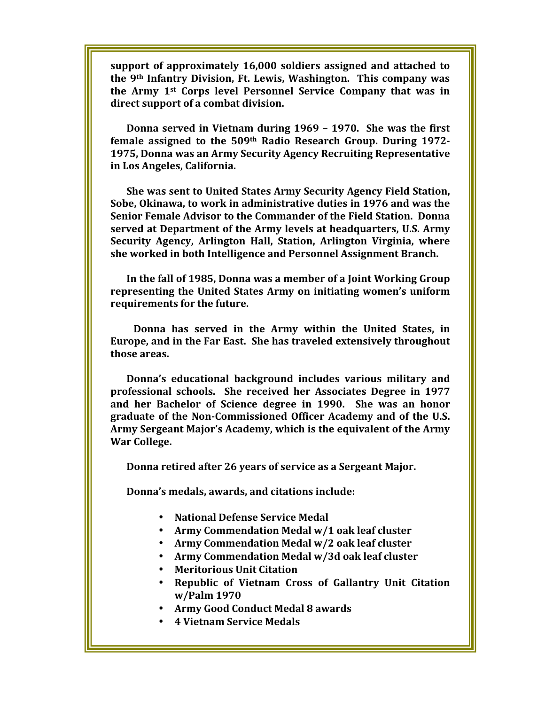**support of approximately 16,000 soldiers assigned and attached to the 9th Infantry Division, Ft. Lewis, Washington. This company was the Army 1st Corps level Personnel Service Company that was in direct support of a combat division.** 

**Donna served in Vietnam during 1969 – 1970. She was the first female assigned to the 509th Radio Research Group. During 1972- 1975, Donna was an Army Security Agency Recruiting Representative in Los Angeles, California.** 

**She was sent to United States Army Security Agency Field Station, Sobe, Okinawa, to work in administrative duties in 1976 and was the Senior Female Advisor to the Commander of the Field Station. Donna served at Department of the Army levels at headquarters, U.S. Army Security Agency, Arlington Hall, Station, Arlington Virginia, where she worked in both Intelligence and Personnel Assignment Branch.** 

**In the fall of 1985, Donna was a member of a Joint Working Group representing the United States Army on initiating women's uniform requirements for the future.** 

 **Donna has served in the Army within the United States, in Europe, and in the Far East. She has traveled extensively throughout those areas.** 

**Donna's educational background includes various military and professional schools. She received her Associates Degree in 1977 and her Bachelor of Science degree in 1990. She was an honor graduate of the Non-Commissioned Officer Academy and of the U.S. Army Sergeant Major's Academy, which is the equivalent of the Army War College.** 

**Donna retired after 26 years of service as a Sergeant Major.** 

**Donna's medals, awards, and citations include:** 

- **National Defense Service Medal**
- **Army Commendation Medal w/1 oak leaf cluster**
- **Army Commendation Medal w/2 oak leaf cluster**
- **Army Commendation Medal w/3d oak leaf cluster**
- **Meritorious Unit Citation**
- **Republic of Vietnam Cross of Gallantry Unit Citation w/Palm 1970**
- **Army Good Conduct Medal 8 awards**
- **4 Vietnam Service Medals**